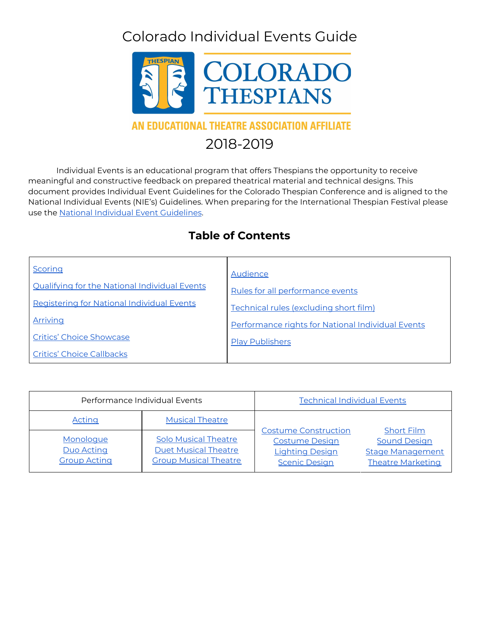# Colorado Individual Events Guide



### AN EDUCATIONAL THEATRE ASSOCIATION AFFILIATE

## 2018-2019

Individual Events is an educational program that offers Thespians the opportunity to receive meaningful and constructive feedback on prepared theatrical material and technical designs. This document provides Individual Event Guidelines for the Colorado Thespian Conference and is aligned to the National Individual Events (NIE's) Guidelines. When preparing for the International Thespian Festival please use the National Individual Event [Guidelines](https://www.schooltheatre.org/programs/nies).

## **Table of Contents**

| Scoring                                       | Audience                                          |
|-----------------------------------------------|---------------------------------------------------|
|                                               |                                                   |
| Qualifying for the National Individual Events | Rules for all performance events                  |
| Registering for National Individual Events    | Technical rules (excluding short film)            |
| Arriving                                      | Performance rights for National Individual Events |
| <b>Critics' Choice Showcase</b>               | <b>Play Publishers</b>                            |
| <b>Critics' Choice Callbacks</b>              |                                                   |

| Performance Individual Events                         |                                                                                            | <b>Technical Individual Events</b>                                                                     |                                                                                                 |
|-------------------------------------------------------|--------------------------------------------------------------------------------------------|--------------------------------------------------------------------------------------------------------|-------------------------------------------------------------------------------------------------|
| <b>Acting</b>                                         | <b>Musical Theatre</b>                                                                     |                                                                                                        |                                                                                                 |
| Monologue<br><b>Duo Acting</b><br><b>Group Acting</b> | <b>Solo Musical Theatre</b><br><b>Duet Musical Theatre</b><br><b>Group Musical Theatre</b> | <b>Costume Construction</b><br><b>Costume Design</b><br><b>Lighting Design</b><br><b>Scenic Design</b> | <b>Short Film</b><br><b>Sound Design</b><br><b>Stage Management</b><br><b>Theatre Marketing</b> |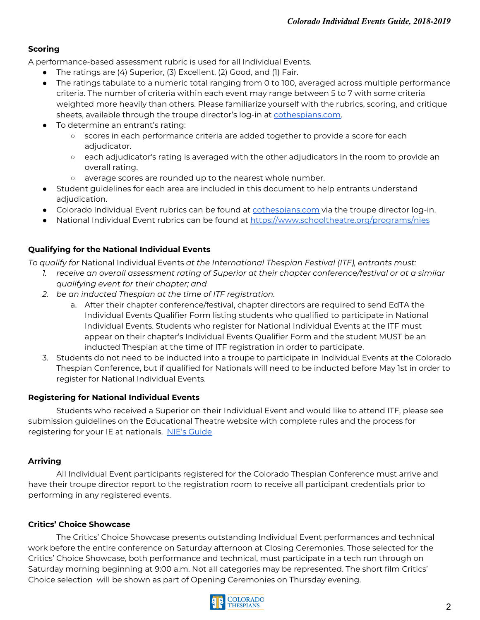#### **Scoring**

A performance-based assessment rubric is used for all Individual Events.

- The ratings are (4) Superior, (3) Excellent, (2) Good, and (1) Fair.
- The ratings tabulate to a numeric total ranging from 0 to 100, averaged across multiple performance criteria. The number of criteria within each event may range between 5 to 7 with some criteria weighted more heavily than others. Please familiarize yourself with the rubrics, scoring, and critique sheets, available through the troupe director's log-in at [cothespians.com.](http://cothespians.com/)
- To determine an entrant's rating:
	- scores in each performance criteria are added together to provide a score for each adjudicator.
	- each adjudicator's rating is averaged with the other adjudicators in the room to provide an overall rating.
	- average scores are rounded up to the nearest whole number.
- Student guidelines for each area are included in this document to help entrants understand adjudication.
- **•** Colorado Individual Event rubrics can be found at **[cothespians.com](http://cothespians.com/)** via the troupe director log-in.
- National Individual Event rubrics can be found at <https://www.schooltheatre.org/programs/nies>

#### **Qualifying for the National Individual Events**

*To qualify for* National Individual Events *at the International Thespian Festival (ITF), entrants must:*

- *1. receive an overall assessment rating of Superior at their chapter conference/festival or at a similar qualifying event for their chapter; and*
- *2. be an inducted Thespian at the time of ITF registration.*
	- a. After their chapter conference/festival, chapter directors are required to send EdTA the Individual Events Qualifier Form listing students who qualified to participate in National Individual Events. Students who register for National Individual Events at the ITF must appear on their chapter's Individual Events Qualifier Form and the student MUST be an inducted Thespian at the time of ITF registration in order to participate.
- 3. Students do not need to be inducted into a troupe to participate in Individual Events at the Colorado Thespian Conference, but if qualified for Nationals will need to be inducted before May 1st in order to register for National Individual Events.

#### **Registering for National Individual Events**

Students who received a Superior on their Individual Event and would like to attend ITF, please see submission guidelines on the Educational Theatre website with complete rules and the process for registering for your IE at nationals. NIE's [Guide](https://www.schooltheatre.org/communities/community-home/librarydocuments?LibraryKey=f10bd2b7-62e0-4fd5-af5c-3757751e3825)

#### **Arriving**

All Individual Event participants registered for the Colorado Thespian Conference must arrive and have their troupe director report to the registration room to receive all participant credentials prior to performing in any registered events.

#### **Critics' Choice Showcase**

The Critics' Choice Showcase presents outstanding Individual Event performances and technical work before the entire conference on Saturday afternoon at Closing Ceremonies. Those selected for the Critics' Choice Showcase, both performance and technical, must participate in a tech run through on Saturday morning beginning at 9:00 a.m. Not all categories may be represented. The short film Critics' Choice selection will be shown as part of Opening Ceremonies on Thursday evening.

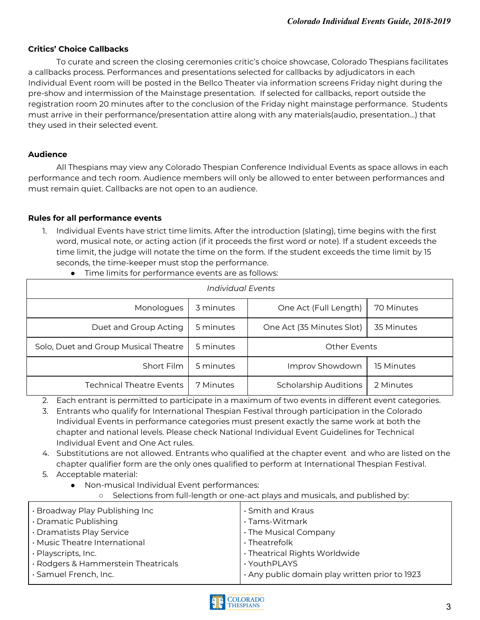#### <span id="page-2-0"></span>**Critics' Choice Callbacks**

To curate and screen the closing ceremonies critic's choice showcase, Colorado Thespians facilitates a callbacks process. Performances and presentations selected for callbacks by adjudicators in each Individual Event room will be posted in the Bellco Theater via information screens Friday night during the pre-show and intermission of the Mainstage presentation. If selected for callbacks, report outside the registration room 20 minutes after to the conclusion of the Friday night mainstage performance. Students must arrive in their performance/presentation attire along with any materials(audio, presentation…) that they used in their selected event.

#### <span id="page-2-1"></span>**Audience**

All Thespians may view any Colorado Thespian Conference Individual Events as space allows in each performance and tech room. Audience members will only be allowed to enter between performances and must remain quiet. Callbacks are not open to an audience.

#### <span id="page-2-2"></span>**Rules for all performance events**

1. Individual Events have strict time limits. After the introduction (slating), time begins with the first word, musical note, or acting action (if it proceeds the first word or note). If a student exceeds the time limit, the judge will notate the time on the form. If the student exceeds the time limit by 15 seconds, the time-keeper must stop the performance.

| Individual Events                    |           |                           |            |
|--------------------------------------|-----------|---------------------------|------------|
| Monologues                           | 3 minutes | One Act (Full Length)     | 70 Minutes |
| Duet and Group Acting                | 5 minutes | One Act (35 Minutes Slot) | 35 Minutes |
| Solo, Duet and Group Musical Theatre | 5 minutes | <b>Other Events</b>       |            |
| Short Film                           | 5 minutes | Improv Showdown           | 15 Minutes |
| <b>Technical Theatre Events</b>      | 7 Minutes | Scholarship Auditions     | 2 Minutes  |

● Time limits for performance events are as follows:

2. Each entrant is permitted to participate in a maximum of two events in different event categories.

3. Entrants who qualify for International Thespian Festival through participation in the Colorado Individual Events in performance categories must present exactly the same work at both the chapter and national levels. Please check National Individual Event Guidelines for Technical Individual Event and One Act rules.

4. Substitutions are not allowed. Entrants who qualified at the chapter event and who are listed on the chapter qualifier form are the only ones qualified to perform at International Thespian Festival.

<span id="page-2-3"></span>5. Acceptable material:

● Non-musical Individual Event performances:

Selections from full-length or one-act plays and musicals, and published by:

| . Broadway Play Publishing Inc      | · Smith and Kraus                              |
|-------------------------------------|------------------------------------------------|
| • Dramatic Publishing               | · Tams-Witmark                                 |
| · Dramatists Play Service           | . The Musical Company                          |
| · Music Theatre International       | · Theatrefolk                                  |
| · Playscripts, Inc.                 | . Theatrical Rights Worldwide                  |
| · Rodgers & Hammerstein Theatricals | · YouthPLAYS                                   |
| · Samuel French, Inc.               | · Any public domain play written prior to 1923 |
|                                     |                                                |

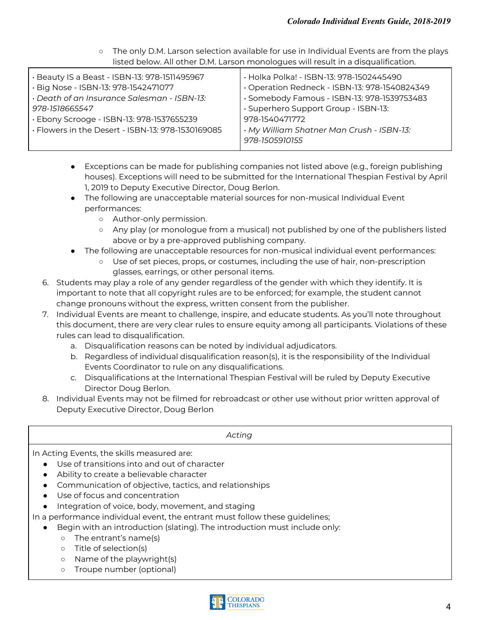○ The only D.M. Larson selection available for use in Individual Events are from the plays listed below. All other D.M. Larson monologues will result in a disqualification.

| · Beauty IS a Beast - ISBN-13: 978-1511495967     | · Holka Polka! - ISBN-13: 978-1502445490      |
|---------------------------------------------------|-----------------------------------------------|
| · Big Nose - ISBN-13: 978-1542471077              | · Operation Redneck - ISBN-13: 978-1540824349 |
| · Death of an Insurance Salesman - ISBN-13:       | · Somebody Famous - ISBN-13: 978-1539753483   |
| 978-1518665547                                    | · Superhero Support Group - ISBN-13:          |
| · Ebony Scrooge - ISBN-13: 978-1537655239         | 978-1540471772                                |
| · Flowers in the Desert - ISBN-13: 978-1530169085 | · My William Shatner Man Crush - ISBN-13:     |
|                                                   | 978-1505910155                                |
|                                                   |                                               |

- Exceptions can be made for publishing companies not listed above (e.g., foreign publishing houses). Exceptions will need to be submitted for the International Thespian Festival by April 1, 2019 to Deputy Executive Director, Doug Berlon.
- The following are unacceptable material sources for non-musical Individual Event performances:
	- Author-only permission.
	- Any play (or monologue from a musical) not published by one of the publishers listed above or by a pre-approved publishing company.
- The following are unacceptable resources for non-musical individual event performances:
	- Use of set pieces, props, or costumes, including the use of hair, non-prescription glasses, earrings, or other personal items.
- 6. Students may play a role of any gender regardless of the gender with which they identify. It is important to note that all copyright rules are to be enforced; for example, the student cannot change pronouns without the express, written consent from the publisher.
- 7. Individual Events are meant to challenge, inspire, and educate students. As you'll note throughout this document, there are very clear rules to ensure equity among all participants. Violations of these rules can lead to disqualification.
	- a. Disqualification reasons can be noted by individual adjudicators.
	- b. Regardless of individual disqualification reason(s), it is the responsibility of the Individual Events Coordinator to rule on any disqualifications.
	- c. Disqualifications at the International Thespian Festival will be ruled by Deputy Executive Director Doug Berlon.
- 8. Individual Events may not be filmed for rebroadcast or other use without prior written approval of Deputy Executive Director, Doug Berlon

| Acting                                                                                                                                                                                                                                                                                                                                                                                                                                                                                                                                                                                                      |
|-------------------------------------------------------------------------------------------------------------------------------------------------------------------------------------------------------------------------------------------------------------------------------------------------------------------------------------------------------------------------------------------------------------------------------------------------------------------------------------------------------------------------------------------------------------------------------------------------------------|
| In Acting Events, the skills measured are:<br>Use of transitions into and out of character<br>Ability to create a believable character<br>Communication of objective, tactics, and relationships<br>Use of focus and concentration<br>Integration of voice, body, movement, and staging<br>In a performance individual event, the entrant must follow these guidelines;<br>Begin with an introduction (slating). The introduction must include only:<br>The entrant's name(s)<br>$\circ$<br>Title of selection(s)<br>$\circ$<br>Name of the playwright(s)<br>$\circ$<br>Troupe number (optional)<br>$\circ$ |

<span id="page-3-0"></span>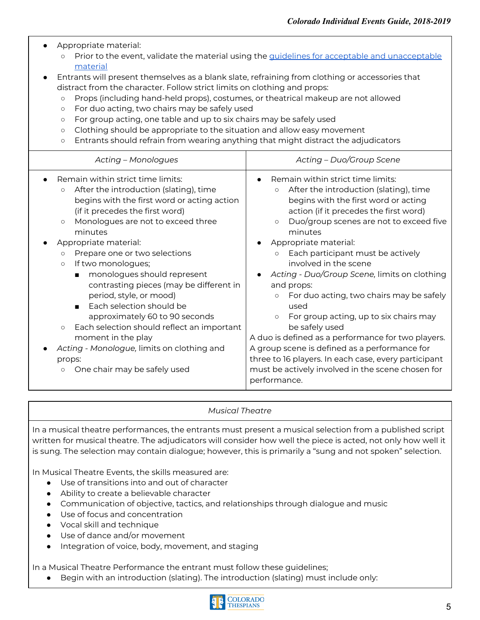| Appropriate material:<br>$\circ$<br>material<br>Entrants will present themselves as a blank slate, refraining from clothing or accessories that<br>distract from the character. Follow strict limits on clothing and props:<br>Props (including hand-held props), costumes, or theatrical makeup are not allowed<br>$\circ$<br>For duo acting, two chairs may be safely used<br>$\circ$<br>For group acting, one table and up to six chairs may be safely used<br>$\circ$<br>Clothing should be appropriate to the situation and allow easy movement<br>$\circ$<br>Entrants should refrain from wearing anything that might distract the adjudicators<br>$\circ$                                                                    | Prior to the event, validate the material using the guidelines for acceptable and unacceptable                                                                                                                                                                                                                                                                                                                                                                                                                                                                                                                                                                                                                                                                                                   |
|-------------------------------------------------------------------------------------------------------------------------------------------------------------------------------------------------------------------------------------------------------------------------------------------------------------------------------------------------------------------------------------------------------------------------------------------------------------------------------------------------------------------------------------------------------------------------------------------------------------------------------------------------------------------------------------------------------------------------------------|--------------------------------------------------------------------------------------------------------------------------------------------------------------------------------------------------------------------------------------------------------------------------------------------------------------------------------------------------------------------------------------------------------------------------------------------------------------------------------------------------------------------------------------------------------------------------------------------------------------------------------------------------------------------------------------------------------------------------------------------------------------------------------------------------|
| Acting - Monologues                                                                                                                                                                                                                                                                                                                                                                                                                                                                                                                                                                                                                                                                                                                 | Acting - Duo/Group Scene                                                                                                                                                                                                                                                                                                                                                                                                                                                                                                                                                                                                                                                                                                                                                                         |
| Remain within strict time limits:<br>After the introduction (slating), time<br>$\circ$<br>begins with the first word or acting action<br>(if it precedes the first word)<br>Monologues are not to exceed three<br>$\circ$<br>minutes<br>Appropriate material:<br>Prepare one or two selections<br>$\circ$<br>If two monologues;<br>$\circ$<br>monologues should represent<br>$\blacksquare$<br>contrasting pieces (may be different in<br>period, style, or mood)<br>Each selection should be<br>$\blacksquare$<br>approximately 60 to 90 seconds<br>Each selection should reflect an important<br>$\circ$<br>moment in the play<br>Acting - Monologue, limits on clothing and<br>props:<br>One chair may be safely used<br>$\circ$ | Remain within strict time limits:<br>$\bullet$<br>After the introduction (slating), time<br>$\circ$<br>begins with the first word or acting<br>action (if it precedes the first word)<br>Duo/group scenes are not to exceed five<br>$\circ$<br>minutes<br>Appropriate material:<br>Each participant must be actively<br>$\circ$<br>involved in the scene<br>Acting - Duo/Group Scene, limits on clothing<br>and props:<br>For duo acting, two chairs may be safely<br>$\circ$<br>used<br>For group acting, up to six chairs may<br>$\circ$<br>be safely used<br>A duo is defined as a performance for two players.<br>A group scene is defined as a performance for<br>three to 16 players. In each case, every participant<br>must be actively involved in the scene chosen for<br>performance. |

#### <span id="page-4-0"></span>*Musical Theatre*

In a musical theatre performances, the entrants must present a musical selection from a published script written for musical theatre. The adjudicators will consider how well the piece is acted, not only how well it is sung. The selection may contain dialogue; however, this is primarily a "sung and not spoken" selection.

In Musical Theatre Events, the skills measured are:

- Use of transitions into and out of character
- Ability to create a believable character
- Communication of objective, tactics, and relationships through dialogue and music
- Use of focus and concentration
- Vocal skill and technique
- Use of dance and/or movement
- Integration of voice, body, movement, and staging

In a Musical Theatre Performance the entrant must follow these guidelines;

● Begin with an introduction (slating). The introduction (slating) must include only:

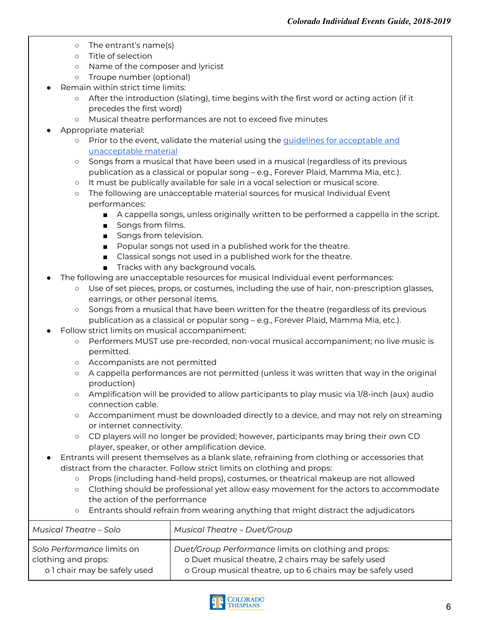- The entrant's name(s)
- Title of selection
- Name of the composer and lyricist
- Troupe number (optional)
- Remain within strict time limits:
	- After the introduction (slating), time begins with the first word or acting action (if it precedes the first word)
	- Musical theatre performances are not to exceed five minutes
- Appropriate material:
	- Prior to the event, validate the material using the guidelines for [acceptable](#page-2-3) and [unacceptable](#page-2-3) material
	- Songs from a musical that have been used in a musical (regardless of its previous publication as a classical or popular song – e.g., Forever Plaid, Mamma Mia, etc.).
	- It must be publically available for sale in a vocal selection or musical score.
	- The following are unacceptable material sources for musical Individual Event performances:
		- A cappella songs, unless originally written to be performed a cappella in the script.
		- Songs from films.
		- Songs from television.
		- Popular songs not used in a published work for the theatre.
		- Classical songs not used in a published work for the theatre.
			- Tracks with any background vocals.
- The following are unacceptable resources for musical Individual event performances:
	- Use of set pieces, props, or costumes, including the use of hair, non-prescription glasses, earrings, or other personal items.
	- Songs from a musical that have been written for the theatre (regardless of its previous publication as a classical or popular song – e.g., Forever Plaid, Mamma Mia, etc.).
- Follow strict limits on musical accompaniment:
	- Performers MUST use pre-recorded, non-vocal musical accompaniment; no live music is permitted.
	- Accompanists are not permitted
	- A cappella performances are not permitted (unless it was written that way in the original production)
	- Amplification will be provided to allow participants to play music via 1/8-inch (aux) audio connection cable.
	- Accompaniment must be downloaded directly to a device, and may not rely on streaming or internet connectivity.
	- CD players will no longer be provided; however, participants may bring their own CD player, speaker, or other amplification device.
- Entrants will present themselves as a blank slate, refraining from clothing or accessories that distract from the character. Follow strict limits on clothing and props:
	- Props (including hand-held props), costumes, or theatrical makeup are not allowed
	- Clothing should be professional yet allow easy movement for the actors to accommodate the action of the performance
	- Entrants should refrain from wearing anything that might distract the adjudicators

| Musical Theatre – Solo       | <b>Musical Theatre - Duet/Group</b>                        |
|------------------------------|------------------------------------------------------------|
| Solo Performance limits on   | Duet/Group Performance limits on clothing and props:       |
| clothing and props:          | o Duet musical theatre, 2 chairs may be safely used        |
| o 1 chair may be safely used | o Group musical theatre, up to 6 chairs may be safely used |

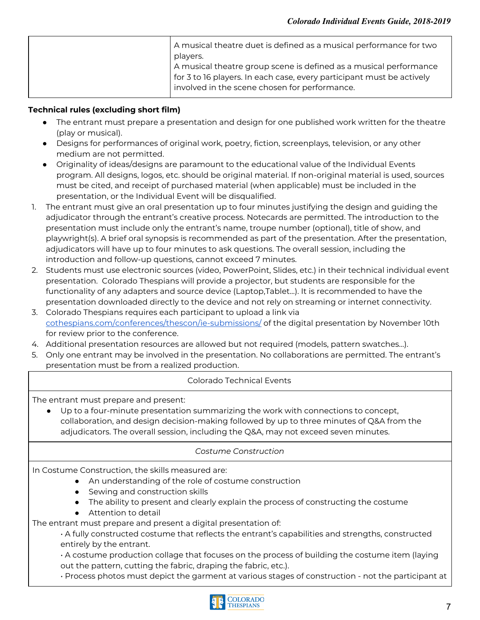| A musical theatre duet is defined as a musical performance for two<br>players.<br>A musical theatre group scene is defined as a musical performance<br>for 3 to 16 players. In each case, every participant must be actively<br>involved in the scene chosen for performance. |
|-------------------------------------------------------------------------------------------------------------------------------------------------------------------------------------------------------------------------------------------------------------------------------|
|                                                                                                                                                                                                                                                                               |

#### <span id="page-6-0"></span>**Technical rules (excluding short film)**

- The entrant must prepare a presentation and design for one published work written for the theatre (play or musical).
- Designs for performances of original work, poetry, fiction, screenplays, television, or any other medium are not permitted.
- Originality of ideas/designs are paramount to the educational value of the Individual Events program. All designs, logos, etc. should be original material. If non-original material is used, sources must be cited, and receipt of purchased material (when applicable) must be included in the presentation, or the Individual Event will be disqualified.
- 1. The entrant must give an oral presentation up to four minutes justifying the design and guiding the adjudicator through the entrant's creative process. Notecards are permitted. The introduction to the presentation must include only the entrant's name, troupe number (optional), title of show, and playwright(s). A brief oral synopsis is recommended as part of the presentation. After the presentation, adjudicators will have up to four minutes to ask questions. The overall session, including the introduction and follow-up questions, cannot exceed 7 minutes.
- 2. Students must use electronic sources (video, PowerPoint, Slides, etc.) in their technical individual event presentation. Colorado Thespians will provide a projector, but students are responsible for the functionality of any adapters and source device (Laptop,Tablet...). It is recommended to have the presentation downloaded directly to the device and not rely on streaming or internet connectivity.
- 3. Colorado Thespians requires each participant to upload a link via [cothespians.com/conferences/thescon/ie-submissions/](https://cothespians.com/conferences/thescon/ie-submissions/) of the digital presentation by November 10th for review prior to the conference.
- 4. Additional presentation resources are allowed but not required (models, pattern swatches…).
- 5. Only one entrant may be involved in the presentation. No collaborations are permitted. The entrant's presentation must be from a realized production.

#### <span id="page-6-1"></span>Colorado Technical Events

The entrant must prepare and present:

Up to a four-minute presentation summarizing the work with connections to concept, collaboration, and design decision-making followed by up to three minutes of Q&A from the adjudicators. The overall session, including the Q&A, may not exceed seven minutes.

#### <span id="page-6-2"></span>*Costume Construction*

In Costume Construction, the skills measured are:

- An understanding of the role of costume construction
- Sewing and construction skills
- The ability to present and clearly explain the process of constructing the costume
- Attention to detail

The entrant must prepare and present a digital presentation of:

• A fully constructed costume that reflects the entrant's capabilities and strengths, constructed entirely by the entrant.

• A costume production collage that focuses on the process of building the costume item (laying out the pattern, cutting the fabric, draping the fabric, etc.).

• Process photos must depict the garment at various stages of construction - not the participant at

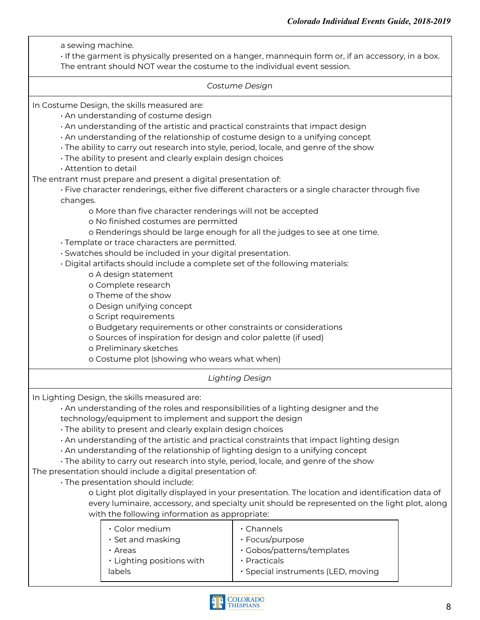<span id="page-7-0"></span>a sewing machine. • If the garment is physically presented on a hanger, mannequin form or, if an accessory, in a box. The entrant should NOT wear the costume to the individual event session. *Costume Design* In Costume Design, the skills measured are: • An understanding of costume design • An understanding of the artistic and practical constraints that impact design • An understanding of the relationship of costume design to a unifying concept • The ability to carry out research into style, period, locale, and genre of the show • The ability to present and clearly explain design choices • Attention to detail The entrant must prepare and present a digital presentation of: • Five character renderings, either five different characters or a single character through five changes. o More than five character renderings will not be accepted o No finished costumes are permitted o Renderings should be large enough for all the judges to see at one time. • Template or trace characters are permitted. • Swatches should be included in your digital presentation. • Digital artifacts should include a complete set of the following materials: o A design statement o Complete research o Theme of the show o Design unifying concept o Script requirements o Budgetary requirements or other constraints or considerations o Sources of inspiration for design and color palette (if used) o Preliminary sketches o Costume plot (showing who wears what when) *Lighting Design* In Lighting Design, the skills measured are: • An understanding of the roles and responsibilities of a lighting designer and the technology/equipment to implement and support the design • The ability to present and clearly explain design choices • An understanding of the artistic and practical constraints that impact lighting design • An understanding of the relationship of lighting design to a unifying concept • The ability to carry out research into style, period, locale, and genre of the show The presentation should include a digital presentation of: • The presentation should include: o Light plot digitally displayed in your presentation. The location and identification data of every luminaire, accessory, and specialty unit should be represented on the light plot, along with the following information as appropriate: ▪ Color medium ▪ Set and masking ▪ Areas • Lighting positions with labels ▪ Channels ▪ Focus/purpose ▪ Gobos/patterns/templates ▪ Practicals ▪ Special instruments (LED, moving

<span id="page-7-1"></span>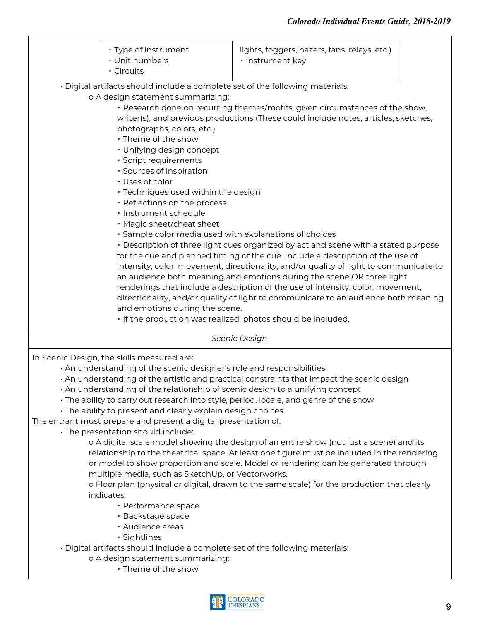|                                                                                       | · Type of instrument<br>· Unit numbers<br>· Circuits                               | lights, foggers, hazers, fans, relays, etc.)<br>· Instrument key                           |  |
|---------------------------------------------------------------------------------------|------------------------------------------------------------------------------------|--------------------------------------------------------------------------------------------|--|
|                                                                                       | · Digital artifacts should include a complete set of the following materials:      |                                                                                            |  |
|                                                                                       | o A design statement summarizing:                                                  |                                                                                            |  |
|                                                                                       |                                                                                    | · Research done on recurring themes/motifs, given circumstances of the show,               |  |
|                                                                                       |                                                                                    | writer(s), and previous productions (These could include notes, articles, sketches,        |  |
|                                                                                       | photographs, colors, etc.)                                                         |                                                                                            |  |
|                                                                                       | · Theme of the show                                                                |                                                                                            |  |
|                                                                                       | · Unifying design concept                                                          |                                                                                            |  |
|                                                                                       | · Script requirements                                                              |                                                                                            |  |
|                                                                                       | · Sources of inspiration                                                           |                                                                                            |  |
|                                                                                       | · Uses of color                                                                    |                                                                                            |  |
|                                                                                       | · Techniques used within the design                                                |                                                                                            |  |
|                                                                                       | · Reflections on the process                                                       |                                                                                            |  |
|                                                                                       | · Instrument schedule                                                              |                                                                                            |  |
|                                                                                       | · Magic sheet/cheat sheet                                                          |                                                                                            |  |
|                                                                                       | · Sample color media used with explanations of choices                             |                                                                                            |  |
|                                                                                       | · Description of three light cues organized by act and scene with a stated purpose |                                                                                            |  |
| for the cue and planned timing of the cue. Include a description of the use of        |                                                                                    |                                                                                            |  |
| intensity, color, movement, directionality, and/or quality of light to communicate to |                                                                                    |                                                                                            |  |
|                                                                                       |                                                                                    | an audience both meaning and emotions during the scene OR three light                      |  |
|                                                                                       |                                                                                    | renderings that include a description of the use of intensity, color, movement,            |  |
|                                                                                       |                                                                                    | directionality, and/or quality of light to communicate to an audience both meaning         |  |
|                                                                                       | and emotions during the scene.                                                     |                                                                                            |  |
|                                                                                       |                                                                                    | . If the production was realized, photos should be included.                               |  |
|                                                                                       |                                                                                    | Scenic Design                                                                              |  |
|                                                                                       | In Scenic Design, the skills measured are:                                         |                                                                                            |  |
|                                                                                       | . An understanding of the scenic designer's role and responsibilities              |                                                                                            |  |
|                                                                                       |                                                                                    | . An understanding of the artistic and practical constraints that impact the scenic design |  |
|                                                                                       | . An understanding of the relationship of scenic design to a unifying concept      |                                                                                            |  |
|                                                                                       |                                                                                    | · The ability to carry out research into style, period, locale, and genre of the show      |  |
|                                                                                       | · The ability to present and clearly explain design choices                        |                                                                                            |  |
|                                                                                       | The entrant must prepare and present a digital presentation of:                    |                                                                                            |  |

• The presentation should include:

<span id="page-8-0"></span>o A digital scale model showing the design of an entire show (not just a scene) and its relationship to the theatrical space. At least one figure must be included in the rendering or model to show proportion and scale. Model or rendering can be generated through multiple media, such as SketchUp, or Vectorworks.

o Floor plan (physical or digital, drawn to the same scale) for the production that clearly indicates:

- Performance space
- Backstage space
- Audience areas
- Sightlines

• Digital artifacts should include a complete set of the following materials:

o A design statement summarizing:

▪ Theme of the show

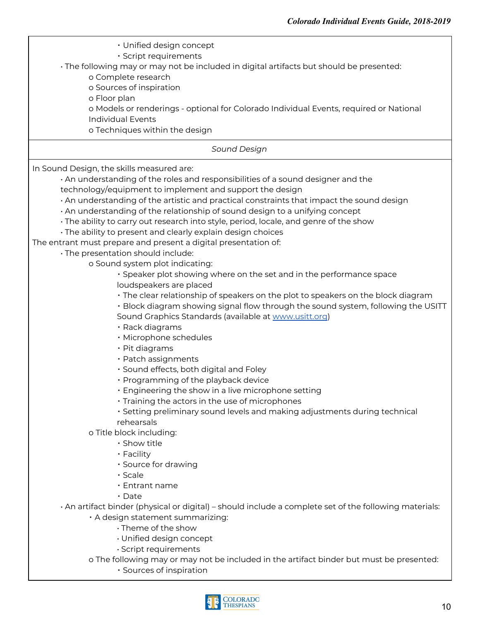<span id="page-9-0"></span>

| • Unified design concept<br>· Script requirements<br>· The following may or may not be included in digital artifacts but should be presented:<br>o Complete research<br>o Sources of inspiration                                                                                                                                                                                         |
|------------------------------------------------------------------------------------------------------------------------------------------------------------------------------------------------------------------------------------------------------------------------------------------------------------------------------------------------------------------------------------------|
| o Floor plan<br>o Models or renderings - optional for Colorado Individual Events, required or National<br><b>Individual Events</b><br>o Techniques within the design                                                                                                                                                                                                                     |
| Sound Design                                                                                                                                                                                                                                                                                                                                                                             |
| In Sound Design, the skills measured are:<br>. An understanding of the roles and responsibilities of a sound designer and the<br>technology/equipment to implement and support the design<br>. An understanding of the artistic and practical constraints that impact the sound design<br>. An understanding of the relationship of sound design to a unifying concept                   |
| · The ability to carry out research into style, period, locale, and genre of the show<br>· The ability to present and clearly explain design choices<br>The entrant must prepare and present a digital presentation of:<br>· The presentation should include:                                                                                                                            |
| o Sound system plot indicating:<br>· Speaker plot showing where on the set and in the performance space<br>loudspeakers are placed<br>· The clear relationship of speakers on the plot to speakers on the block diagram<br>· Block diagram showing signal flow through the sound system, following the USITT<br>Sound Graphics Standards (available at www.usitt.org)<br>· Rack diagrams |
| · Microphone schedules<br>· Pit diagrams<br>· Patch assignments<br>· Sound effects, both digital and Foley<br>• Programming of the playback device<br>• Engineering the show in a live microphone setting<br>. Training the actors in the use of microphones<br>· Setting preliminary sound levels and making adjustments during technical                                               |
| rehearsals<br>o Title block including:<br>· Show title<br>· Facility<br>· Source for drawing<br>· Scale<br>• Entrant name<br>$\cdot$ Date                                                                                                                                                                                                                                                |
| · An artifact binder (physical or digital) – should include a complete set of the following materials:<br>· A design statement summarizing:<br>· Theme of the show<br>· Unified design concept<br>· Script requirements<br>o The following may or may not be included in the artifact binder but must be presented:<br>· Sources of inspiration                                          |

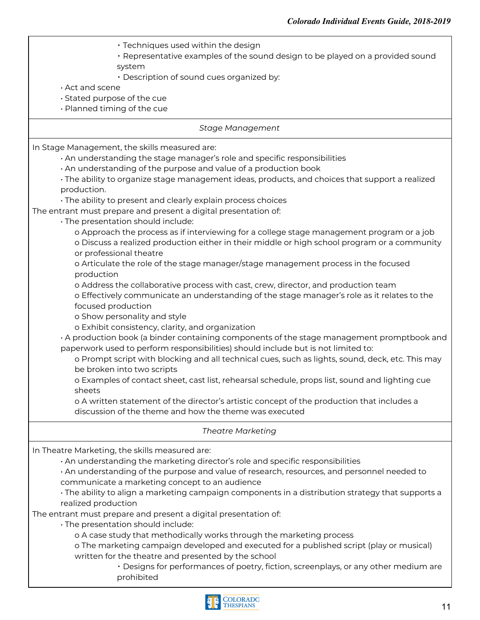- $\cdot$  Techniques used within the design
- Representative examples of the sound design to be played on a provided sound system
- Description of sound cues organized by:
- Act and scene
- Stated purpose of the cue
- Planned timing of the cue

#### <span id="page-10-0"></span>*Stage Management*

In Stage Management, the skills measured are:

- An understanding the stage manager's role and specific responsibilities
- An understanding of the purpose and value of a production book

• The ability to organize stage management ideas, products, and choices that support a realized production.

• The ability to present and clearly explain process choices

The entrant must prepare and present a digital presentation of:

- The presentation should include:
	- o Approach the process as if interviewing for a college stage management program or a job o Discuss a realized production either in their middle or high school program or a community or professional theatre
	- o Articulate the role of the stage manager/stage management process in the focused production
	- o Address the collaborative process with cast, crew, director, and production team
	- o Effectively communicate an understanding of the stage manager's role as it relates to the focused production
	- o Show personality and style
	- o Exhibit consistency, clarity, and organization

• A production book (a binder containing components of the stage management promptbook and paperwork used to perform responsibilities) should include but is not limited to:

o Prompt script with blocking and all technical cues, such as lights, sound, deck, etc. This may be broken into two scripts

o Examples of contact sheet, cast list, rehearsal schedule, props list, sound and lighting cue sheets

o A written statement of the director's artistic concept of the production that includes a discussion of the theme and how the theme was executed

#### <span id="page-10-1"></span>*Theatre Marketing*

In Theatre Marketing, the skills measured are:

• An understanding the marketing director's role and specific responsibilities

• An understanding of the purpose and value of research, resources, and personnel needed to communicate a marketing concept to an audience

• The ability to align a marketing campaign components in a distribution strategy that supports a realized production

The entrant must prepare and present a digital presentation of:

• The presentation should include:

o A case study that methodically works through the marketing process

o The marketing campaign developed and executed for a published script (play or musical) written for the theatre and presented by the school

▪ Designs for performances of poetry, fiction, screenplays, or any other medium are prohibited

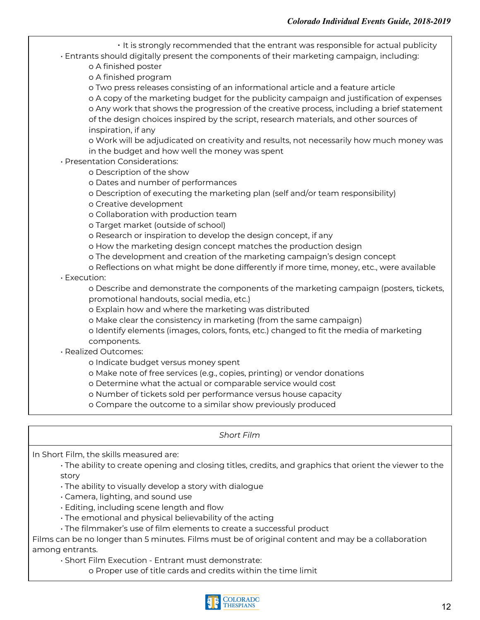▪ It is strongly recommended that the entrant was responsible for actual publicity • Entrants should digitally present the components of their marketing campaign, including:

o A finished poster

o A finished program

o Two press releases consisting of an informational article and a feature article o A copy of the marketing budget for the publicity campaign and justification of expenses o Any work that shows the progression of the creative process, including a brief statement of the design choices inspired by the script, research materials, and other sources of inspiration, if any

o Work will be adjudicated on creativity and results, not necessarily how much money was in the budget and how well the money was spent

• Presentation Considerations:

o Description of the show

o Dates and number of performances

o Description of executing the marketing plan (self and/or team responsibility)

o Creative development

o Collaboration with production team

o Target market (outside of school)

o Research or inspiration to develop the design concept, if any

o How the marketing design concept matches the production design

o The development and creation of the marketing campaign's design concept

o Reflections on what might be done differently if more time, money, etc., were available

• Execution:

o Describe and demonstrate the components of the marketing campaign (posters, tickets, promotional handouts, social media, etc.)

o Explain how and where the marketing was distributed

o Make clear the consistency in marketing (from the same campaign)

o Identify elements (images, colors, fonts, etc.) changed to fit the media of marketing components.

• Realized Outcomes:

o Indicate budget versus money spent

o Make note of free services (e.g., copies, printing) or vendor donations

o Determine what the actual or comparable service would cost

o Number of tickets sold per performance versus house capacity

o Compare the outcome to a similar show previously produced

<span id="page-11-0"></span>*Short Film*

In Short Film, the skills measured are:

• The ability to create opening and closing titles, credits, and graphics that orient the viewer to the story

- The ability to visually develop a story with dialogue
- Camera, lighting, and sound use
- Editing, including scene length and flow
- The emotional and physical believability of the acting
- The filmmaker's use of film elements to create a successful product

Films can be no longer than 5 minutes. Films must be of original content and may be a collaboration among entrants.

• Short Film Execution - Entrant must demonstrate:

o Proper use of title cards and credits within the time limit

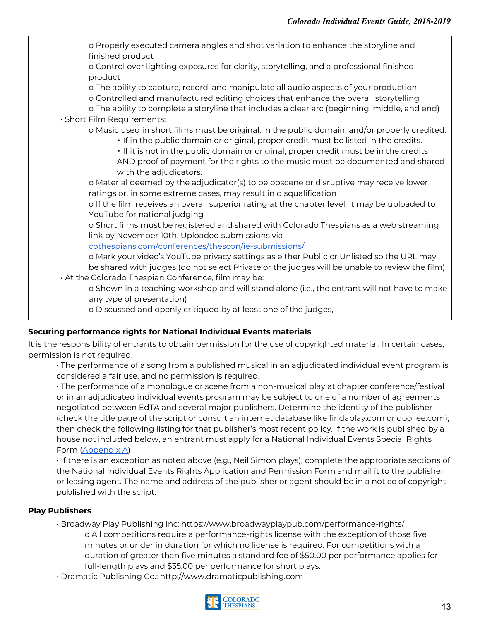o Properly executed camera angles and shot variation to enhance the storyline and finished product o Control over lighting exposures for clarity, storytelling, and a professional finished product o The ability to capture, record, and manipulate all audio aspects of your production o Controlled and manufactured editing choices that enhance the overall storytelling o The ability to complete a storyline that includes a clear arc (beginning, middle, and end) • Short Film Requirements: o Music used in short films must be original, in the public domain, and/or properly credited. ▪ If in the public domain or original, proper credit must be listed in the credits. ▪ If it is not in the public domain or original, proper credit must be in the credits AND proof of payment for the rights to the music must be documented and shared with the adjudicators. o Material deemed by the adjudicator(s) to be obscene or disruptive may receive lower ratings or, in some extreme cases, may result in disqualification o If the film receives an overall superior rating at the chapter level, it may be uploaded to YouTube for national judging o Short films must be registered and shared with Colorado Thespians as a web streaming link by November 10th. Uploaded submissions via [cothespians.com/conferences/thescon/ie-submissions/](https://cothespians.com/conferences/thescon/ie-submissions/) o Mark your video's YouTube privacy settings as either Public or Unlisted so the URL may be shared with judges (do not select Private or the judges will be unable to review the film) • At the Colorado Thespian Conference, film may be: o Shown in a teaching workshop and will stand alone (i.e., the entrant will not have to make any type of presentation) o Discussed and openly critiqued by at least one of the judges,

#### **Securing performance rights for National Individual Events materials**

It is the responsibility of entrants to obtain permission for the use of copyrighted material. In certain cases, permission is not required.

• The performance of a song from a published musical in an adjudicated individual event program is considered a fair use, and no permission is required.

• The performance of a monologue or scene from a non-musical play at chapter conference/festival or in an adjudicated individual events program may be subject to one of a number of agreements negotiated between EdTA and several major publishers. Determine the identity of the publisher (check the title page of the script or consult an internet database like findaplay.com or doollee.com), then check the following listing for that publisher's most recent policy. If the work is published by a house not included below, an entrant must apply for a National Individual Events Special Rights Form [\(Appendix](#page-14-0) A)

• If there is an exception as noted above (e.g., Neil Simon plays), complete the appropriate sections of the National Individual Events Rights Application and Permission Form and mail it to the publisher or leasing agent. The name and address of the publisher or agent should be in a notice of copyright published with the script.

#### <span id="page-12-0"></span>**Play Publishers**

- Broadway Play Publishing Inc: https://www.broadwayplaypub.com/performance-rights/ o All competitions require a performance-rights license with the exception of those five minutes or under in duration for which no license is required. For competitions with a duration of greater than five minutes a standard fee of \$50.00 per performance applies for full-length plays and \$35.00 per performance for short plays.
- Dramatic Publishing Co.: http://www.dramaticpublishing.com

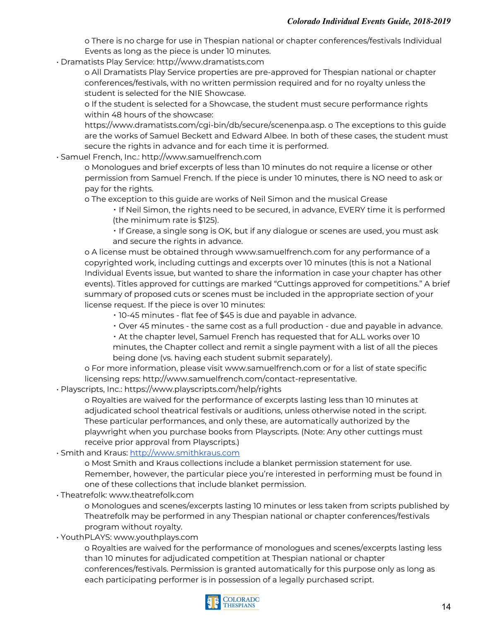o There is no charge for use in Thespian national or chapter conferences/festivals Individual Events as long as the piece is under 10 minutes.

• Dramatists Play Service: http://www.dramatists.com

o All Dramatists Play Service properties are pre-approved for Thespian national or chapter conferences/festivals, with no written permission required and for no royalty unless the student is selected for the NIE Showcase.

o If the student is selected for a Showcase, the student must secure performance rights within 48 hours of the showcase:

https://www.dramatists.com/cgi-bin/db/secure/scenenpa.asp. o The exceptions to this guide are the works of Samuel Beckett and Edward Albee. In both of these cases, the student must secure the rights in advance and for each time it is performed.

• Samuel French, Inc.: http://www.samuelfrench.com

o Monologues and brief excerpts of less than 10 minutes do not require a license or other permission from Samuel French. If the piece is under 10 minutes, there is NO need to ask or pay for the rights.

o The exception to this guide are works of Neil Simon and the musical Grease

▪ If Neil Simon, the rights need to be secured, in advance, EVERY time it is performed (the minimum rate is \$125).

▪ If Grease, a single song is OK, but if any dialogue or scenes are used, you must ask and secure the rights in advance.

o A license must be obtained through www.samuelfrench.com for any performance of a copyrighted work, including cuttings and excerpts over 10 minutes (this is not a National Individual Events issue, but wanted to share the information in case your chapter has other events). Titles approved for cuttings are marked "Cuttings approved for competitions." A brief summary of proposed cuts or scenes must be included in the appropriate section of your license request. If the piece is over 10 minutes:

- 10-45 minutes flat fee of \$45 is due and payable in advance.
- Over 45 minutes the same cost as a full production due and payable in advance.

▪ At the chapter level, Samuel French has requested that for ALL works over 10 minutes, the Chapter collect and remit a single payment with a list of all the pieces being done (vs. having each student submit separately).

o For more information, please visit www.samuelfrench.com or for a list of state specific licensing reps: http://www.samuelfrench.com/contact-representative.

• Playscripts, Inc.: https://www.playscripts.com/help/rights

o Royalties are waived for the performance of excerpts lasting less than 10 minutes at adjudicated school theatrical festivals or auditions, unless otherwise noted in the script. These particular performances, and only these, are automatically authorized by the playwright when you purchase books from Playscripts. (Note: Any other cuttings must receive prior approval from Playscripts.)

• Smith and Kraus: [http://www.smithkraus.com](http://www.smithkraus.com/)

o Most Smith and Kraus collections include a blanket permission statement for use. Remember, however, the particular piece you're interested in performing must be found in one of these collections that include blanket permission.

• Theatrefolk: www.theatrefolk.com

o Monologues and scenes/excerpts lasting 10 minutes or less taken from scripts published by Theatrefolk may be performed in any Thespian national or chapter conferences/festivals program without royalty.

• YouthPLAYS: www.youthplays.com

o Royalties are waived for the performance of monologues and scenes/excerpts lasting less than 10 minutes for adjudicated competition at Thespian national or chapter conferences/festivals. Permission is granted automatically for this purpose only as long as each participating performer is in possession of a legally purchased script.